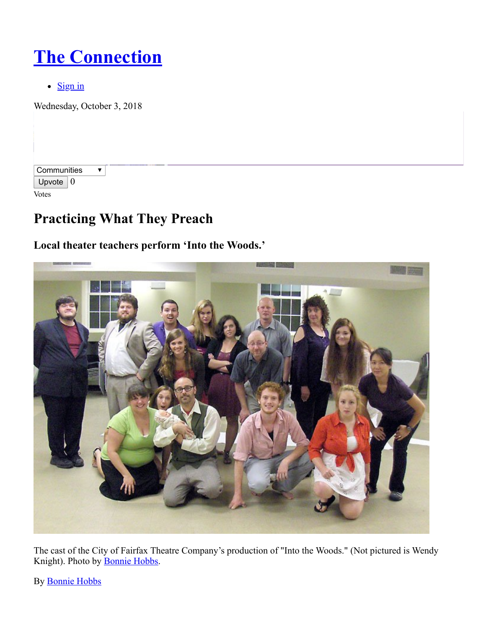# **[The Connection](http://www.connectionnewspapers.com/)**

 $\bullet$  [Sign in](http://www.connectionnewspapers.com/accounts/login/?next=/news/2012/jul/11/practicing-what-they-preach/)

Wednesday, October 3, 2018

| Communities |   |
|-------------|---|
| Upvote      | 0 |
| Votes       |   |

# **Practicing What They Preach**

### **Local theater teachers perform 'Into the Woods.'**



The cast of the City of Fairfax Theatre Company's production of "Into the Woods." (Not pictured is Wendy Knight). Photo by [Bonnie Hobbs](http://www.connectionnewspapers.com/staff/bonnie-hobbs/).

By [Bonnie Hobbs](http://www.connectionnewspapers.com/staff/bonnie-hobbs)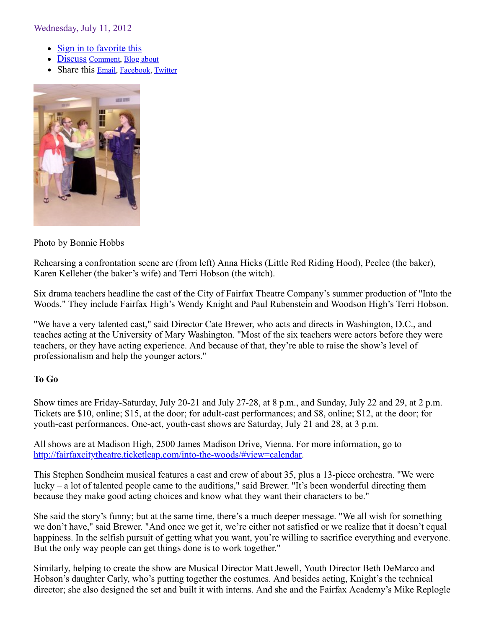[Wednesday, July 11, 2012](http://www.connectionnewspapers.com/news/2012/jul/11/practicing-what-they-preach/)

- [Sign in to favorite this](http://www.connectionnewspapers.com/accounts/login/?next=/news/2012/jul/11/practicing-what-they-preach/)
- Discuss Comment, Blog [about](http://www.connectionnewspapers.com/weblogs/post/?cid=125&oid=74693)
- Share this **[Email](http://www.connectionnewspapers.com/mailfriend/125/74693/2497a543b3/)**, [Facebook,](https://www.facebook.com/sharer.php?u=http://www.connectionnewspapers.com/news/2012/jul/11/practicing-what-they-preach/) [Twitter](http://twitter.com/home?status=http://www.connectionnewspapers.com/news/2012/jul/11/practicing-what-they-preach/)



#### Photo by Bonnie Hobbs

Rehearsing a confrontation scene are (from left) Anna Hicks (Little Red Riding Hood), Peelee (the baker), Karen Kelleher (the baker's wife) and Terri Hobson (the witch).

Six drama teachers headline the cast of the City of Fairfax Theatre Company's summer production of "Into the Woods." They include Fairfax High's Wendy Knight and Paul Rubenstein and Woodson High's Terri Hobson.

"We have a very talented cast," said Director Cate Brewer, who acts and directs in Washington, D.C., and teaches acting at the University of Mary Washington. "Most of the six teachers were actors before they were teachers, or they have acting experience. And because of that, they're able to raise the show's level of professionalism and help the younger actors."

#### **To Go**

Show times are Friday-Saturday, July 20-21 and July 27-28, at 8 p.m., and Sunday, July 22 and 29, at 2 p.m. Tickets are \$10, online; \$15, at the door; for adult-cast performances; and \$8, online; \$12, at the door; for youth-cast performances. One-act, youth-cast shows are Saturday, July 21 and 28, at 3 p.m.

All shows are at Madison High, 2500 James Madison Drive, Vienna. For more information, go to <http://fairfaxcitytheatre.ticketleap.com/into-the-woods/#view=calendar>.

This Stephen Sondheim musical features a cast and crew of about 35, plus a 13-piece orchestra. "We were lucky – a lot of talented people came to the auditions," said Brewer. "It's been wonderful directing them because they make good acting choices and know what they want their characters to be."

She said the story's funny; but at the same time, there's a much deeper message. "We all wish for something we don't have," said Brewer. "And once we get it, we're either not satisfied or we realize that it doesn't equal happiness. In the selfish pursuit of getting what you want, you're willing to sacrifice everything and everyone. But the only way people can get things done is to work together."

Similarly, helping to create the show are Musical Director Matt Jewell, Youth Director Beth DeMarco and Hobson's daughter Carly, who's putting together the costumes. And besides acting, Knight's the technical director; she also designed the set and built it with interns. And she and the Fairfax Academy's Mike Replogle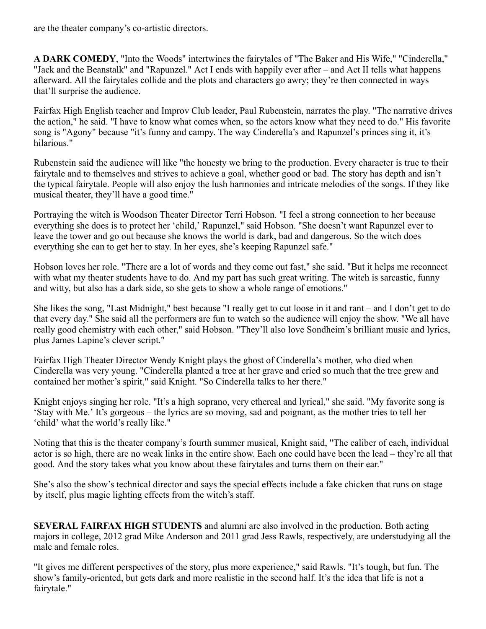are the theater company's co-artistic directors.

**A DARK COMEDY**, "Into the Woods" intertwines the fairytales of "The Baker and His Wife," "Cinderella," "Jack and the Beanstalk" and "Rapunzel." Act I ends with happily ever after – and Act II tells what happens afterward. All the fairytales collide and the plots and characters go awry; they're then connected in ways that'll surprise the audience.

Fairfax High English teacher and Improv Club leader, Paul Rubenstein, narrates the play. "The narrative drives the action," he said. "I have to know what comes when, so the actors know what they need to do." His favorite song is "Agony" because "it's funny and campy. The way Cinderella's and Rapunzel's princes sing it, it's hilarious."

Rubenstein said the audience will like "the honesty we bring to the production. Every character is true to their fairytale and to themselves and strives to achieve a goal, whether good or bad. The story has depth and isn't the typical fairytale. People will also enjoy the lush harmonies and intricate melodies of the songs. If they like musical theater, they'll have a good time."

Portraying the witch is Woodson Theater Director Terri Hobson. "I feel a strong connection to her because everything she does is to protect her 'child,' Rapunzel," said Hobson. "She doesn't want Rapunzel ever to leave the tower and go out because she knows the world is dark, bad and dangerous. So the witch does everything she can to get her to stay. In her eyes, she's keeping Rapunzel safe."

Hobson loves her role. "There are a lot of words and they come out fast," she said. "But it helps me reconnect with what my theater students have to do. And my part has such great writing. The witch is sarcastic, funny and witty, but also has a dark side, so she gets to show a whole range of emotions."

She likes the song, "Last Midnight," best because "I really get to cut loose in it and rant – and I don't get to do that every day." She said all the performers are fun to watch so the audience will enjoy the show. "We all have really good chemistry with each other," said Hobson. "They'll also love Sondheim's brilliant music and lyrics, plus James Lapine's clever script."

Fairfax High Theater Director Wendy Knight plays the ghost of Cinderella's mother, who died when Cinderella was very young. "Cinderella planted a tree at her grave and cried so much that the tree grew and contained her mother's spirit," said Knight. "So Cinderella talks to her there."

Knight enjoys singing her role. "It's a high soprano, very ethereal and lyrical," she said. "My favorite song is 'Stay with Me.' It's gorgeous – the lyrics are so moving, sad and poignant, as the mother tries to tell her 'child' what the world's really like."

Noting that this is the theater company's fourth summer musical, Knight said, "The caliber of each, individual actor is so high, there are no weak links in the entire show. Each one could have been the lead – they're all that good. And the story takes what you know about these fairytales and turns them on their ear."

She's also the show's technical director and says the special effects include a fake chicken that runs on stage by itself, plus magic lighting effects from the witch's staff.

**SEVERAL FAIRFAX HIGH STUDENTS** and alumni are also involved in the production. Both acting majors in college, 2012 grad Mike Anderson and 2011 grad Jess Rawls, respectively, are understudying all the male and female roles.

"It gives me different perspectives of the story, plus more experience," said Rawls. "It's tough, but fun. The show's family-oriented, but gets dark and more realistic in the second half. It's the idea that life is not a fairytale."